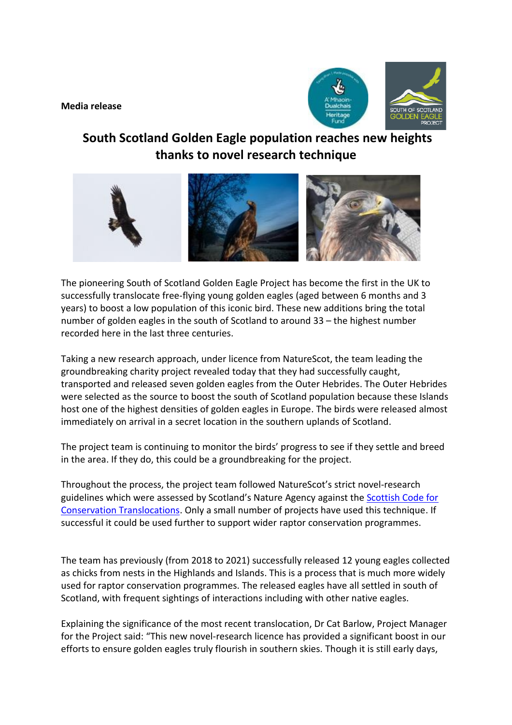**Media release**



## **South Scotland Golden Eagle population reaches new heights thanks to novel research technique**



The pioneering South of Scotland Golden Eagle Project has become the first in the UK to successfully translocate free-flying young golden eagles (aged between 6 months and 3 years) to boost a low population of this iconic bird. These new additions bring the total number of golden eagles in the south of Scotland to around 33 – the highest number recorded here in the last three centuries.

Taking a new research approach, under licence from NatureScot, the team leading the groundbreaking charity project revealed today that they had successfully caught, transported and released seven golden eagles from the Outer Hebrides. The Outer Hebrides were selected as the source to boost the south of Scotland population because these Islands host one of the highest densities of golden eagles in Europe. The birds were released almost immediately on arrival in a secret location in the southern uplands of Scotland.

The project team is continuing to monitor the birds' progress to see if they settle and breed in the area. If they do, this could be a groundbreaking for the project.

Throughout the process, the project team followed NatureScot's strict novel-research guidelines which were assessed by Scotland's Nature Agency against the [Scottish Code for](https://www.nature.scot/doc/scottish-code-conservation-translocations)  [Conservation Translocations.](https://www.nature.scot/doc/scottish-code-conservation-translocations) Only a small number of projects have used this technique. If successful it could be used further to support wider raptor conservation programmes.

The team has previously (from 2018 to 2021) successfully released 12 young eagles collected as chicks from nests in the Highlands and Islands. This is a process that is much more widely used for raptor conservation programmes. The released eagles have all settled in south of Scotland, with frequent sightings of interactions including with other native eagles.

Explaining the significance of the most recent translocation, Dr Cat Barlow, Project Manager for the Project said: "This new novel-research licence has provided a significant boost in our efforts to ensure golden eagles truly flourish in southern skies. Though it is still early days,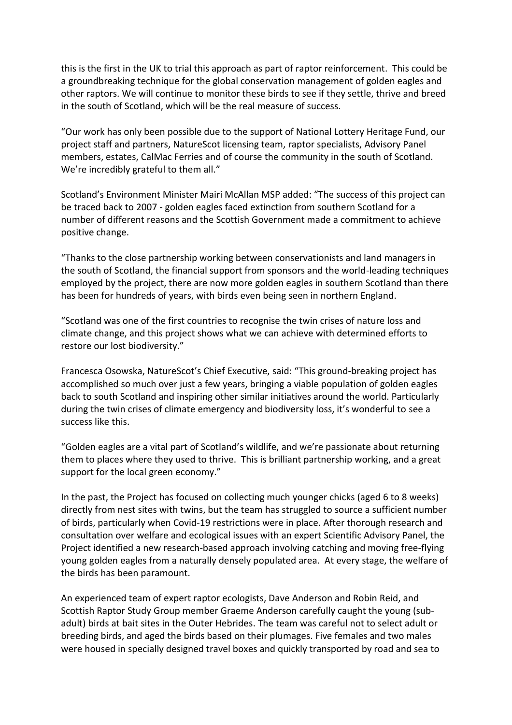this is the first in the UK to trial this approach as part of raptor reinforcement. This could be a groundbreaking technique for the global conservation management of golden eagles and other raptors. We will continue to monitor these birds to see if they settle, thrive and breed in the south of Scotland, which will be the real measure of success.

"Our work has only been possible due to the support of National Lottery Heritage Fund, our project staff and partners, NatureScot licensing team, raptor specialists, Advisory Panel members, estates, CalMac Ferries and of course the community in the south of Scotland. We're incredibly grateful to them all."

Scotland's Environment Minister Mairi McAllan MSP added: "The success of this project can be traced back to 2007 - golden eagles faced extinction from southern Scotland for a number of different reasons and the Scottish Government made a commitment to achieve positive change.

"Thanks to the close partnership working between conservationists and land managers in the south of Scotland, the financial support from sponsors and the world-leading techniques employed by the project, there are now more golden eagles in southern Scotland than there has been for hundreds of years, with birds even being seen in northern England.

"Scotland was one of the first countries to recognise the twin crises of nature loss and climate change, and this project shows what we can achieve with determined efforts to restore our lost biodiversity."

Francesca Osowska, NatureScot's Chief Executive, said: "This ground-breaking project has accomplished so much over just a few years, bringing a viable population of golden eagles back to south Scotland and inspiring other similar initiatives around the world. Particularly during the twin crises of climate emergency and biodiversity loss, it's wonderful to see a success like this.

"Golden eagles are a vital part of Scotland's wildlife, and we're passionate about returning them to places where they used to thrive. This is brilliant partnership working, and a great support for the local green economy."

In the past, the Project has focused on collecting much younger chicks (aged 6 to 8 weeks) directly from nest sites with twins, but the team has struggled to source a sufficient number of birds, particularly when Covid-19 restrictions were in place. After thorough research and consultation over welfare and ecological issues with an expert Scientific Advisory Panel, the Project identified a new research-based approach involving catching and moving free-flying young golden eagles from a naturally densely populated area. At every stage, the welfare of the birds has been paramount.

An experienced team of expert raptor ecologists, Dave Anderson and Robin Reid, and Scottish Raptor Study Group member Graeme Anderson carefully caught the young (subadult) birds at bait sites in the Outer Hebrides. The team was careful not to select adult or breeding birds, and aged the birds based on their plumages. Five females and two males were housed in specially designed travel boxes and quickly transported by road and sea to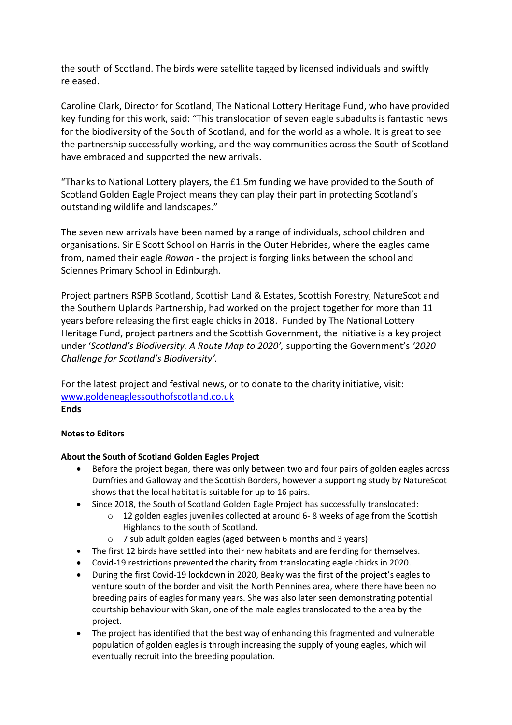the south of Scotland. The birds were satellite tagged by licensed individuals and swiftly released.

Caroline Clark, Director for Scotland, The National Lottery Heritage Fund, who have provided key funding for this work, said: "This translocation of seven eagle subadults is fantastic news for the biodiversity of the South of Scotland, and for the world as a whole. It is great to see the partnership successfully working, and the way communities across the South of Scotland have embraced and supported the new arrivals.

"Thanks to National Lottery players, the £1.5m funding we have provided to the South of Scotland Golden Eagle Project means they can play their part in protecting Scotland's outstanding wildlife and landscapes."

The seven new arrivals have been named by a range of individuals, school children and organisations. Sir E Scott School on Harris in the Outer Hebrides, where the eagles came from, named their eagle *Rowan* - the project is forging links between the school and Sciennes Primary School in Edinburgh.

Project partners RSPB Scotland, Scottish Land & Estates, Scottish Forestry, NatureScot and the Southern Uplands Partnership, had worked on the project together for more than 11 years before releasing the first eagle chicks in 2018. Funded by The National Lottery Heritage Fund, project partners and the Scottish Government, the initiative is a key project under '*Scotland's Biodiversity. A Route Map to 2020',* supporting the Government's *'2020 Challenge for Scotland's Biodiversity'.*

For the latest project and festival news, or to donate to the charity initiative, visit: [www.goldeneaglessouthofscotland.co.uk](http://www.goldeneaglessouthofscotland.co.uk/) **Ends**

## **Notes to Editors**

## **About the South of Scotland Golden Eagles Project**

- Before the project began, there was only between two and four pairs of golden eagles across Dumfries and Galloway and the Scottish Borders, however a supporting study by NatureScot shows that the local habitat is suitable for up to 16 pairs.
- Since 2018, the South of Scotland Golden Eagle Project has successfully translocated:
	- o 12 golden eagles juveniles collected at around 6- 8 weeks of age from the Scottish Highlands to the south of Scotland.
	- o 7 sub adult golden eagles (aged between 6 months and 3 years)
- The first 12 birds have settled into their new habitats and are fending for themselves.
- Covid-19 restrictions prevented the charity from translocating eagle chicks in 2020.
- During the first Covid-19 lockdown in 2020, Beaky was the first of the project's eagles to venture south of the border and visit the North Pennines area, where there have been no breeding pairs of eagles for many years. She was also later seen demonstrating potential courtship behaviour with Skan, one of the male eagles translocated to the area by the project.
- The project has identified that the best way of enhancing this fragmented and vulnerable population of golden eagles is through increasing the supply of young eagles, which will eventually recruit into the breeding population.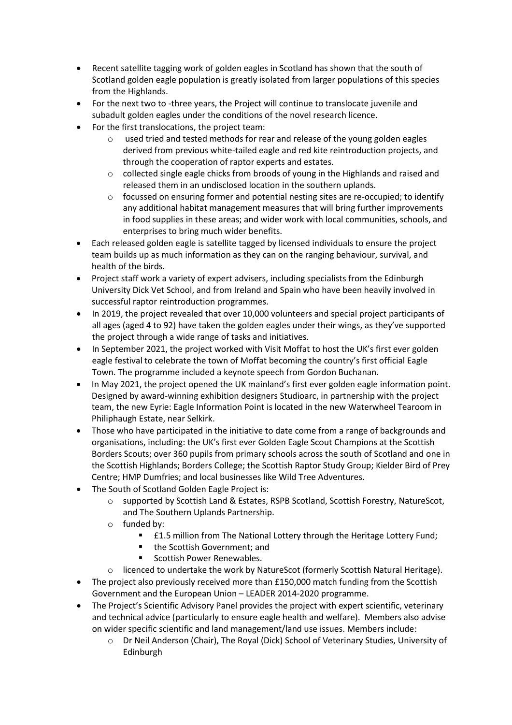- Recent satellite tagging work of golden eagles in Scotland has shown that the south of Scotland golden eagle population is greatly isolated from larger populations of this species from the Highlands.
- For the next two to -three years, the Project will continue to translocate juvenile and subadult golden eagles under the conditions of the novel research licence.
- For the first translocations, the project team:
	- $\circ$  used tried and tested methods for rear and release of the young golden eagles derived from previous white-tailed eagle and red kite reintroduction projects, and through the cooperation of raptor experts and estates.
	- $\circ$  collected single eagle chicks from broods of young in the Highlands and raised and released them in an undisclosed location in the southern uplands.
	- $\circ$  focussed on ensuring former and potential nesting sites are re-occupied; to identify any additional habitat management measures that will bring further improvements in food supplies in these areas; and wider work with local communities, schools, and enterprises to bring much wider benefits.
- Each released golden eagle is satellite tagged by licensed individuals to ensure the project team builds up as much information as they can on the ranging behaviour, survival, and health of the birds.
- Project staff work a variety of expert advisers, including specialists from the Edinburgh University Dick Vet School, and from Ireland and Spain who have been heavily involved in successful raptor reintroduction programmes.
- In 2019, the project revealed that over 10,000 volunteers and special project participants of all ages (aged 4 to 92) have taken the golden eagles under their wings, as they've supported the project through a wide range of tasks and initiatives.
- In September 2021, the project worked with Visit Moffat to host the UK's first ever golden eagle festival to celebrate the town of Moffat becoming the country's first official Eagle Town. The programme included a keynote speech from Gordon Buchanan.
- In May 2021, the project opened the UK mainland's first ever golden eagle information point. Designed by award-winning exhibition designers Studioarc, in partnership with the project team, the new Eyrie: Eagle Information Point is located in the new Waterwheel Tearoom in Philiphaugh Estate, near Selkirk.
- Those who have participated in the initiative to date come from a range of backgrounds and organisations, including: the UK's first ever Golden Eagle Scout Champions at the Scottish Borders Scouts; over 360 pupils from primary schools across the south of Scotland and one in the Scottish Highlands; Borders College; the Scottish Raptor Study Group; Kielder Bird of Prey Centre; HMP Dumfries; and local businesses like Wild Tree Adventures.
- The South of Scotland Golden Eagle Project is:
	- o supported by Scottish Land & Estates, RSPB Scotland, Scottish Forestry, NatureScot, and The Southern Uplands Partnership.
	- o funded by:
		- **EL.5 million from The National Lottery through the Heritage Lottery Fund;**
		- the Scottish Government; and
		- Scottish Power Renewables.
	- o licenced to undertake the work by NatureScot (formerly Scottish Natural Heritage).
- The project also previously received more than £150,000 match funding from the Scottish Government and the European Union – LEADER 2014-2020 programme.
- The Project's Scientific Advisory Panel provides the project with expert scientific, veterinary and technical advice (particularly to ensure eagle health and welfare). Members also advise on wider specific scientific and land management/land use issues. Members include:
	- o Dr Neil Anderson (Chair), The Royal (Dick) School of Veterinary Studies, University of Edinburgh